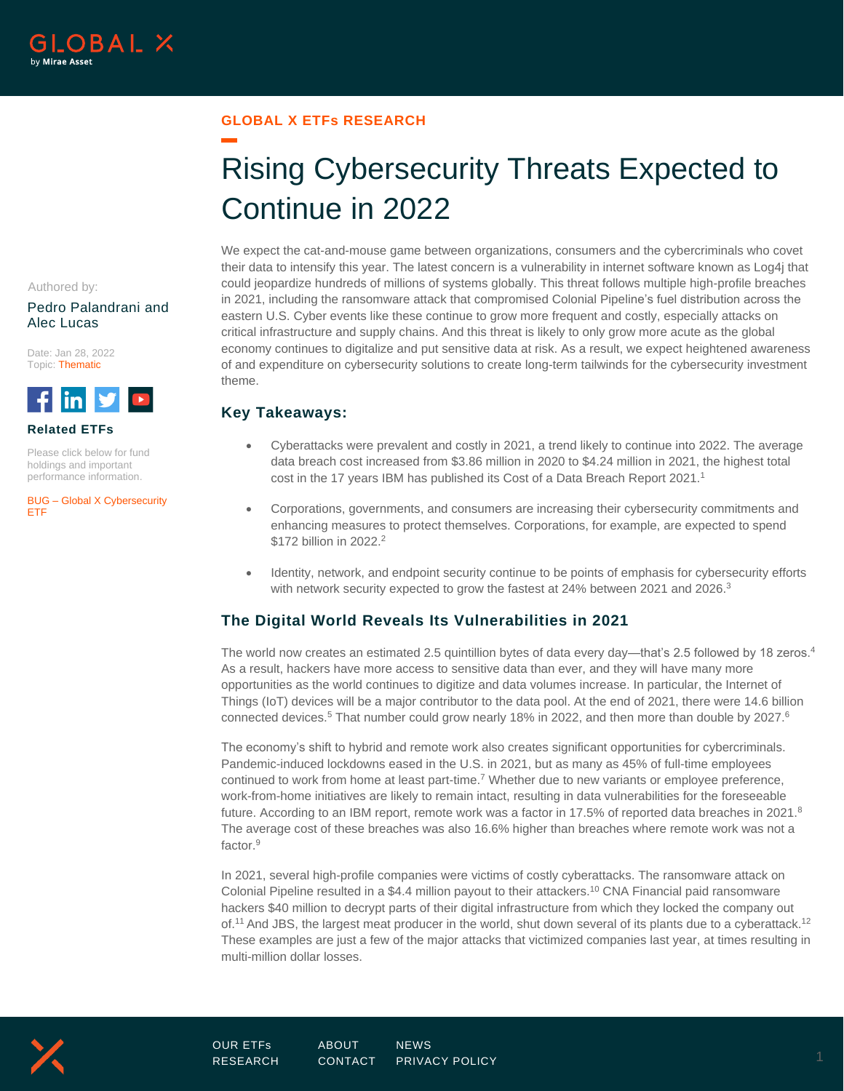Authored by:

Alec Lucas

Date: Jan 28, 2022 Topic: Thematic

**Related ETFs**

lin.

[ETF](https://www.globalxetfs.com/funds/bug/)

Please click below for fund holdings and important performance information.

BUG – [Global X Cybersecurity](https://www.globalxetfs.com/funds/bug/) 

#### **GLOBAL X ETFs RESEARCH**

# Rising Cybersecurity Threats Expected to Continue in 2022

We expect the cat-and-mouse game between organizations, consumers and the cybercriminals who covet

of and expenditure on cybersecurity solutions to create long-term tailwinds for the cybersecurity investment

their data to intensify this year. The latest concern is a vulnerability in internet software known as Log4j that could jeopardize hundreds of millions of systems globally. This threat follows multiple high-profile breaches in 2021, including the ransomware attack that compromised Colonial Pipeline's fuel distribution across the eastern U.S. Cyber events like these continue to grow more frequent and costly, especially attacks on critical infrastructure and supply chains. And this threat is likely to only grow more acute as the global economy continues to digitalize and put sensitive data at risk. As a result, we expect heightened awareness Pedro Palandrani and

## **Key Takeaways:**

theme.

- Cyberattacks were prevalent and costly in 2021, a trend likely to continue into 2022. The average data breach cost increased from \$3.86 million in 2020 to \$4.24 million in 2021, the highest total cost in the 17 years IBM has published its Cost of a Data Breach Report 2021.<sup>1</sup>
- Corporations, governments, and consumers are increasing their cybersecurity commitments and enhancing measures to protect themselves. Corporations, for example, are expected to spend \$172 billion in 2022.<sup>2</sup>
- Identity, network, and endpoint security continue to be points of emphasis for cybersecurity efforts with network security expected to grow the fastest at 24% between 2021 and 2026.<sup>3</sup>

## **The Digital World Reveals Its Vulnerabilities in 2021**

The world now creates an estimated 2.5 quintillion bytes of data every day—that's 2.5 followed by 18 zeros.<sup>4</sup> As a result, hackers have more access to sensitive data than ever, and they will have many more opportunities as the world continues to digitize and data volumes increase. In particular, the Internet of Things (IoT) devices will be a major contributor to the data pool. At the end of 2021, there were 14.6 billion connected devices.<sup>5</sup> That number could grow nearly 18% in 2022, and then more than double by 2027.<sup>6</sup>

The economy's shift to hybrid and remote work also creates significant opportunities for cybercriminals. Pandemic-induced lockdowns eased in the U.S. in 2021, but as many as 45% of full-time employees continued to work from home at least part-time.<sup>7</sup> Whether due to new variants or employee preference, work-from-home initiatives are likely to remain intact, resulting in data vulnerabilities for the foreseeable future. According to an IBM report, remote work was a factor in 17.5% of reported data breaches in 2021.<sup>8</sup> The average cost of these breaches was also 16.6% higher than breaches where remote work was not a factor.<sup>9</sup>

In 2021, several high-profile companies were victims of costly cyberattacks. The ransomware attack on Colonial Pipeline resulted in a \$4.4 million payout to their attackers.<sup>10</sup> CNA Financial paid ransomware hackers \$40 million to decrypt parts of their digital infrastructure from which they locked the company out of.<sup>11</sup> And JBS, the largest meat producer in the world, shut down several of its plants due to a cyberattack.<sup>12</sup> These examples are just a few of the major attacks that victimized companies last year, at times resulting in multi-million dollar losses.

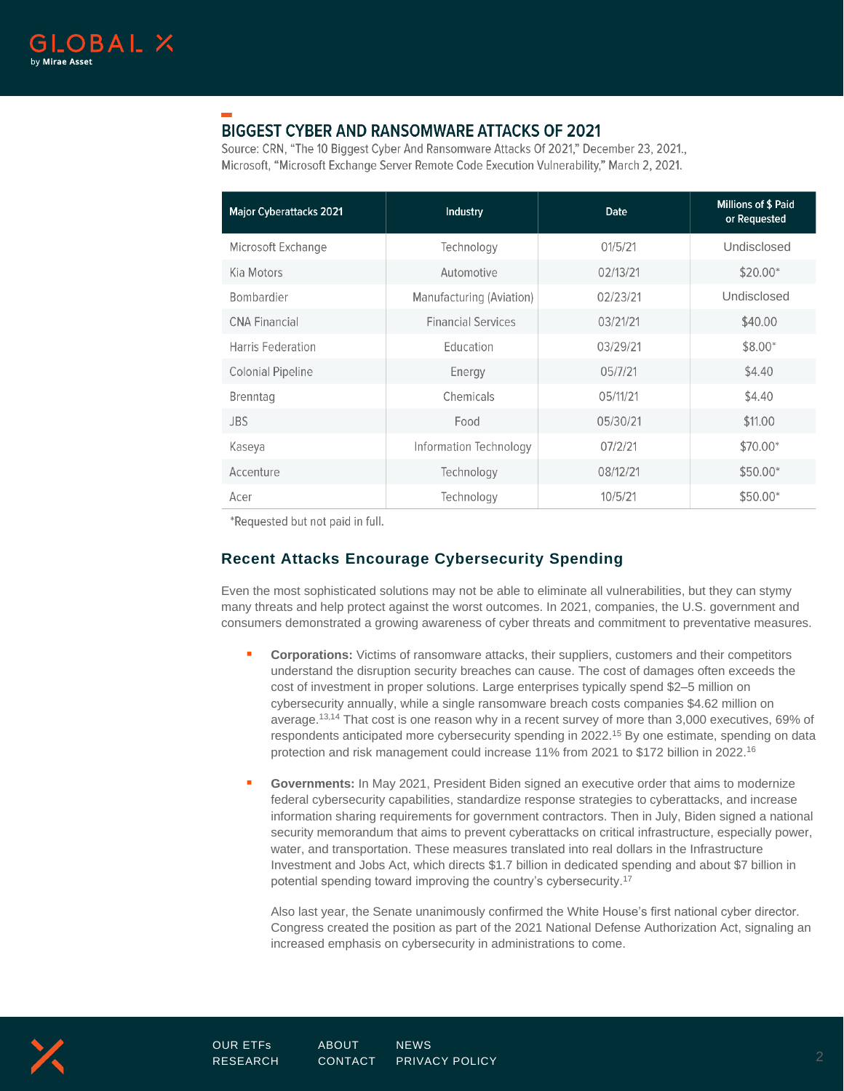

# **BIGGEST CYBER AND RANSOMWARE ATTACKS OF 2021**

Source: CRN, "The 10 Biggest Cyber And Ransomware Attacks Of 2021," December 23, 2021., Microsoft, "Microsoft Exchange Server Remote Code Execution Vulnerability," March 2, 2021.

| <b>Major Cyberattacks 2021</b> | Industry                  | <b>Date</b> | <b>Millions of \$ Paid</b><br>or Requested |
|--------------------------------|---------------------------|-------------|--------------------------------------------|
| Microsoft Exchange             | Technology                | 01/5/21     | Undisclosed                                |
| Kia Motors                     | Automotive                | 02/13/21    | $$20.00*$                                  |
| Bombardier                     | Manufacturing (Aviation)  | 02/23/21    | Undisclosed                                |
| <b>CNA Financial</b>           | <b>Financial Services</b> | 03/21/21    | \$40.00                                    |
| Harris Federation              | Education                 | 03/29/21    | $$8.00*$                                   |
| <b>Colonial Pipeline</b>       | Energy                    | 05/7/21     | \$4.40                                     |
| <b>Brenntag</b>                | Chemicals                 | 05/11/21    | \$4.40                                     |
| <b>JBS</b>                     | Food                      | 05/30/21    | \$11.00                                    |
| Kaseya                         | Information Technology    | 07/2/21     | \$70.00*                                   |
| Accenture                      | Technology                | 08/12/21    | \$50.00*                                   |
| Acer                           | Technology                | 10/5/21     | \$50.00*                                   |

\*Requested but not paid in full.

## **Recent Attacks Encourage Cybersecurity Spending**

Even the most sophisticated solutions may not be able to eliminate all vulnerabilities, but they can stymy many threats and help protect against the worst outcomes. In 2021, companies, the U.S. government and consumers demonstrated a growing awareness of cyber threats and commitment to preventative measures.

- **Corporations:** Victims of ransomware attacks, their suppliers, customers and their competitors understand the disruption security breaches can cause. The cost of damages often exceeds the cost of investment in proper solutions. Large enterprises typically spend \$2–5 million on cybersecurity annually, while a single ransomware breach costs companies \$4.62 million on average.13,14 That cost is one reason why in a recent survey of more than 3,000 executives, 69% of respondents anticipated more cybersecurity spending in 2022.<sup>15</sup> By one estimate, spending on data protection and risk management could increase 11% from 2021 to \$172 billion in 2022.<sup>16</sup>
- Governments: In May 2021, President Biden signed an executive order that aims to modernize federal cybersecurity capabilities, standardize response strategies to cyberattacks, and increase information sharing requirements for government contractors. Then in July, Biden signed a national security memorandum that aims to prevent cyberattacks on critical infrastructure, especially power, water, and transportation. These measures translated into real dollars in the Infrastructure Investment and Jobs Act, which directs \$1.7 billion in dedicated spending and about \$7 billion in potential spending toward improving the country's cybersecurity.<sup>17</sup>

Also last year, the Senate unanimously confirmed the White House's first national cyber director. Congress created the position as part of the 2021 National Defense Authorization Act, signaling an increased emphasis on cybersecurity in administrations to come.

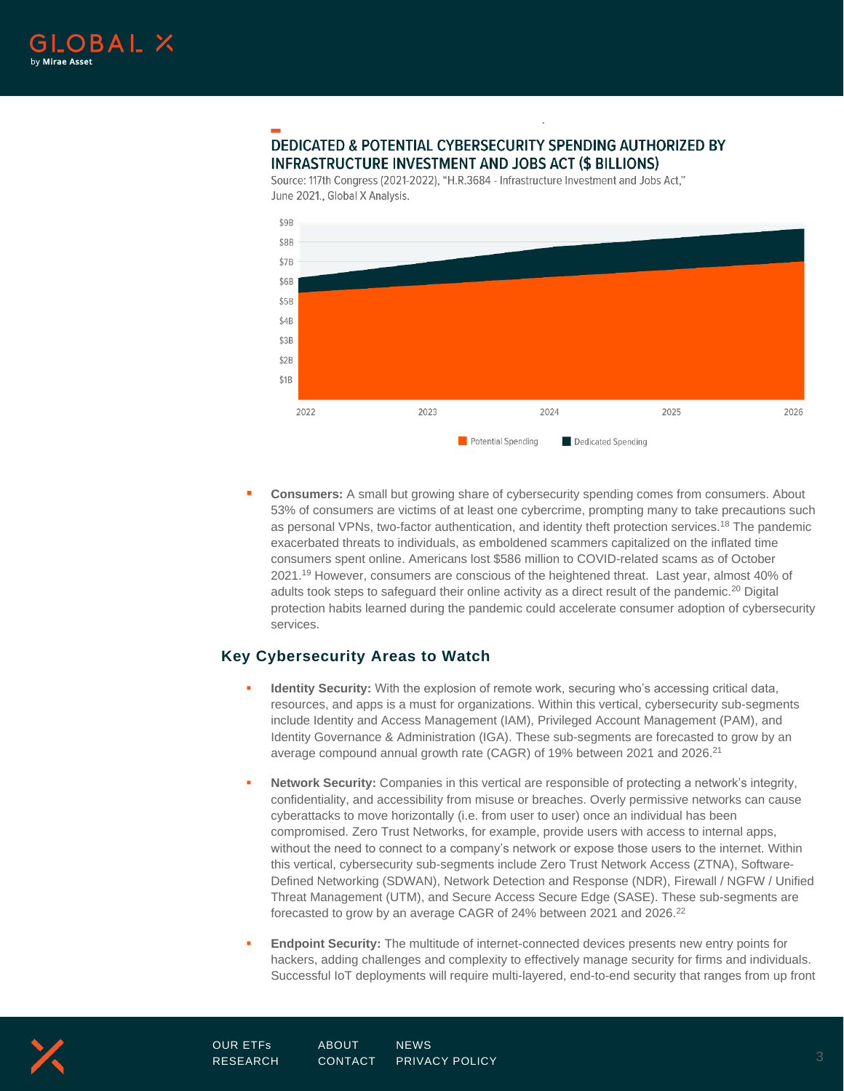

## **DEDICATED & POTENTIAL CYBERSECURITY SPENDING AUTHORIZED BY INFRASTRUCTURE INVESTMENT AND JOBS ACT (\$ BILLIONS)**

Source: 117th Congress (2021-2022), "H.R.3684 - Infrastructure Investment and Jobs Act," June 2021., Global X Analysis.



.

**Consumers:** A small but growing share of cybersecurity spending comes from consumers. About 53% of consumers are victims of at least one cybercrime, prompting many to take precautions such as personal VPNs, two-factor authentication, and identity theft protection services.<sup>18</sup> The pandemic exacerbated threats to individuals, as emboldened scammers capitalized on the inflated time consumers spent online. Americans lost \$586 million to COVID-related scams as of October 2021.<sup>19</sup> However, consumers are conscious of the heightened threat. Last year, almost 40% of adults took steps to safeguard their online activity as a direct result of the pandemic.<sup>20</sup> Digital protection habits learned during the pandemic could accelerate consumer adoption of cybersecurity services.

### **Key Cybersecurity Areas to Watch**

- **Identity Security:** With the explosion of remote work, securing who's accessing critical data, resources, and apps is a must for organizations. Within this vertical, cybersecurity sub-segments include Identity and Access Management (IAM), Privileged Account Management (PAM), and Identity Governance & Administration (IGA). These sub-segments are forecasted to grow by an average compound annual growth rate (CAGR) of 19% between 2021 and 2026.<sup>21</sup>
- **Network Security:** Companies in this vertical are responsible of protecting a network's integrity, confidentiality, and accessibility from misuse or breaches. Overly permissive networks can cause cyberattacks to move horizontally (i.e. from user to user) once an individual has been compromised. Zero Trust Networks, for example, provide users with access to internal apps, without the need to connect to a company's network or expose those users to the internet. Within this vertical, cybersecurity sub-segments include Zero Trust Network Access (ZTNA), Software-Defined Networking (SDWAN), Network Detection and Response (NDR), Firewall / NGFW / Unified Threat Management (UTM), and Secure Access Secure Edge (SASE). These sub-segments are forecasted to grow by an average CAGR of 24% between 2021 and 2026.<sup>22</sup>
- **Endpoint Security:** The multitude of internet-connected devices presents new entry points for hackers, adding challenges and complexity to effectively manage security for firms and individuals. Successful IoT deployments will require multi-layered, end-to-end security that ranges from up front

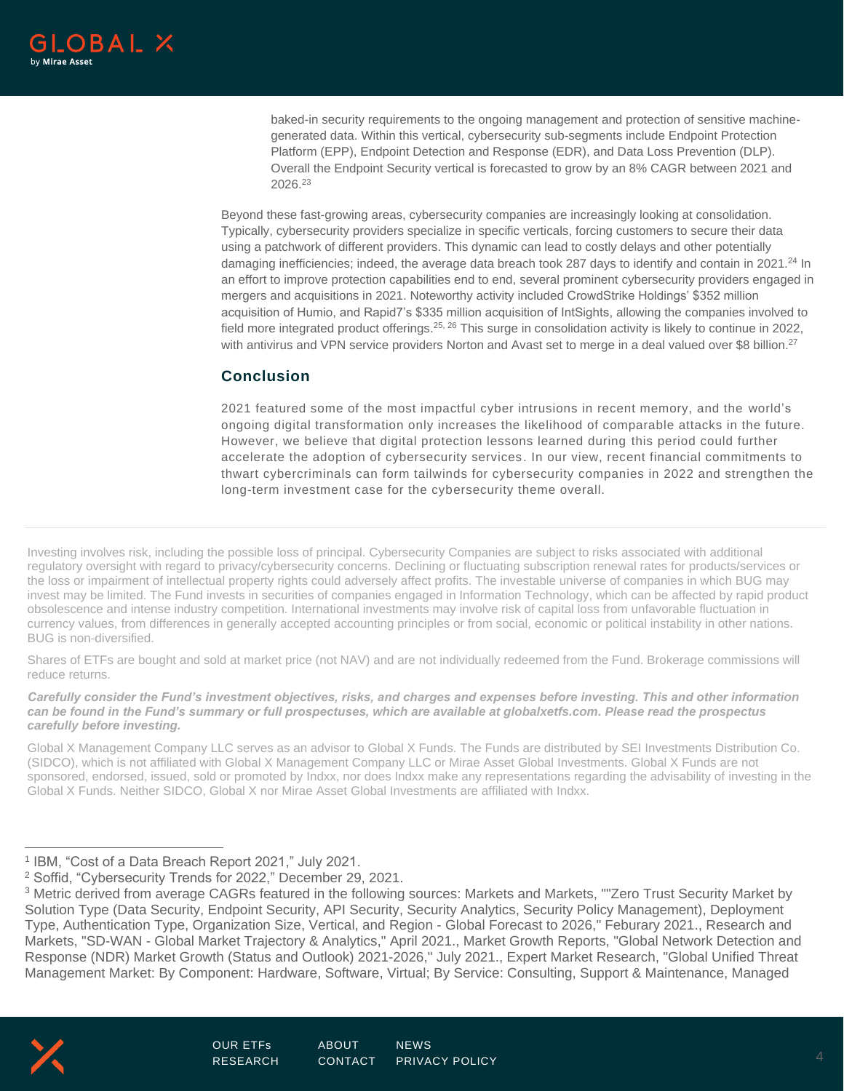baked-in security requirements to the ongoing management and protection of sensitive machinegenerated data. Within this vertical, cybersecurity sub-segments include Endpoint Protection Platform (EPP), Endpoint Detection and Response (EDR), and Data Loss Prevention (DLP). Overall the Endpoint Security vertical is forecasted to grow by an 8% CAGR between 2021 and 2026.<sup>23</sup>

Beyond these fast-growing areas, cybersecurity companies are increasingly looking at consolidation. Typically, cybersecurity providers specialize in specific verticals, forcing customers to secure their data using a patchwork of different providers. This dynamic can lead to costly delays and other potentially damaging inefficiencies; indeed, the average data breach took 287 days to identify and contain in 2021.<sup>24</sup> In an effort to improve protection capabilities end to end, several prominent cybersecurity providers engaged in mergers and acquisitions in 2021. Noteworthy activity included CrowdStrike Holdings' \$352 million acquisition of Humio, and Rapid7's \$335 million acquisition of IntSights, allowing the companies involved to field more integrated product offerings.<sup>25, 26</sup> This surge in consolidation activity is likely to continue in 2022, with antivirus and VPN service providers Norton and Avast set to merge in a deal valued over \$8 billion.<sup>27</sup>

## **Conclusion**

2021 featured some of the most impactful cyber intrusions in recent memory, and the world's ongoing digital transformation only increases the likelihood of comparable attacks in the future. However, we believe that digital protection lessons learned during this period could further accelerate the adoption of cybersecurity services. In our view, recent financial commitments to thwart cybercriminals can form tailwinds for cybersecurity companies in 2022 and strengthen the long-term investment case for the cybersecurity theme overall.

Investing involves risk, including the possible loss of principal. Cybersecurity Companies are subject to risks associated with additional regulatory oversight with regard to privacy/cybersecurity concerns. Declining or fluctuating subscription renewal rates for products/services or the loss or impairment of intellectual property rights could adversely affect profits. The investable universe of companies in which BUG may invest may be limited. The Fund invests in securities of companies engaged in Information Technology, which can be affected by rapid product obsolescence and intense industry competition. International investments may involve risk of capital loss from unfavorable fluctuation in currency values, from differences in generally accepted accounting principles or from social, economic or political instability in other nations. BUG is non-diversified.

Shares of ETFs are bought and sold at market price (not NAV) and are not individually redeemed from the Fund. Brokerage commissions will reduce returns.

*Carefully consider the Fund's investment objectives, risks, and charges and expenses before investing. This and other information can be found in the Fund's summary or full prospectuses, which are available at globalxetfs.com. Please read the prospectus carefully before investing.*

Global X Management Company LLC serves as an advisor to Global X Funds. The Funds are distributed by SEI Investments Distribution Co. (SIDCO), which is not affiliated with Global X Management Company LLC or Mirae Asset Global Investments. Global X Funds are not sponsored, endorsed, issued, sold or promoted by Indxx, nor does Indxx make any representations regarding the advisability of investing in the Global X Funds. Neither SIDCO, Global X nor Mirae Asset Global Investments are affiliated with Indxx.

<sup>&</sup>lt;sup>3</sup> Metric derived from average CAGRs featured in the following sources: Markets and Markets, ""Zero Trust Security Market by Solution Type (Data Security, Endpoint Security, API Security, Security Analytics, Security Policy Management), Deployment Type, Authentication Type, Organization Size, Vertical, and Region - Global Forecast to 2026," Feburary 2021., Research and Markets, "SD-WAN - Global Market Trajectory & Analytics," April 2021., Market Growth Reports, "Global Network Detection and Response (NDR) Market Growth (Status and Outlook) 2021-2026," July 2021., Expert Market Research, "Global Unified Threat Management Market: By Component: Hardware, Software, Virtual; By Service: Consulting, Support & Maintenance, Managed



<sup>1</sup> IBM, "Cost of a Data Breach Report 2021," July 2021.

<sup>&</sup>lt;sup>2</sup> Soffid, "Cybersecurity Trends for 2022," December 29, 2021.